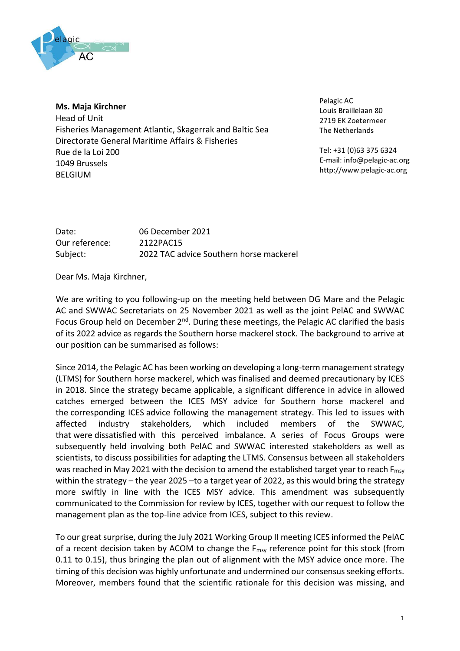

**Ms. Maja Kirchner** Head of Unit

Fisheries Management Atlantic, Skagerrak and Baltic Sea Directorate General Maritime Affairs & Fisheries Rue de la Loi 200 1049 Brussels BELGIUM

Pelagic AC Louis Braillelaan 80 2719 EK Zoetermeer The Netherlands

Tel: +31 (0)63 375 6324 E-mail: info@pelagic-ac.org http://www.pelagic-ac.org

| Date:          | 06 December 2021                        |
|----------------|-----------------------------------------|
| Our reference: | 2122PAC15                               |
| Subject:       | 2022 TAC advice Southern horse mackerel |

Dear Ms. Maja Kirchner,

We are writing to you following-up on the meeting held between DG Mare and the Pelagic AC and SWWAC Secretariats on 25 November 2021 as well as the joint PelAC and SWWAC Focus Group held on December 2<sup>nd</sup>. During these meetings, the Pelagic AC clarified the basis of its 2022 advice as regards the Southern horse mackerel stock. The background to arrive at our position can be summarised as follows:

Since 2014, the Pelagic AC has been working on developing a long-term management strategy (LTMS) for Southern horse mackerel, which was finalised and deemed precautionary by ICES in 2018. Since the strategy became applicable, a significant difference in advice in allowed catches emerged between the ICES MSY advice for Southern horse mackerel and the corresponding ICES advice following the management strategy. This led to issues with affected industry stakeholders, which included members of the SWWAC, that were dissatisfied with this perceived imbalance. A series of Focus Groups were subsequently held involving both PelAC and SWWAC interested stakeholders as well as scientists, to discuss possibilities for adapting the LTMS. Consensus between all stakeholders was reached in May 2021 with the decision to amend the established target year to reach  $F_{\text{msv}}$ within the strategy – the year 2025 –to a target year of 2022, as this would bring the strategy more swiftly in line with the ICES MSY advice. This amendment was subsequently communicated to the Commission for review by ICES, together with our request to follow the management plan as the top-line advice from ICES, subject to this review.

To our great surprise, during the July 2021 Working Group II meeting ICES informed the PelAC of a recent decision taken by ACOM to change the F<sub>msy</sub> reference point for this stock (from 0.11 to 0.15), thus bringing the plan out of alignment with the MSY advice once more. The timing of this decision was highly unfortunate and undermined our consensus seeking efforts. Moreover, members found that the scientific rationale for this decision was missing, and